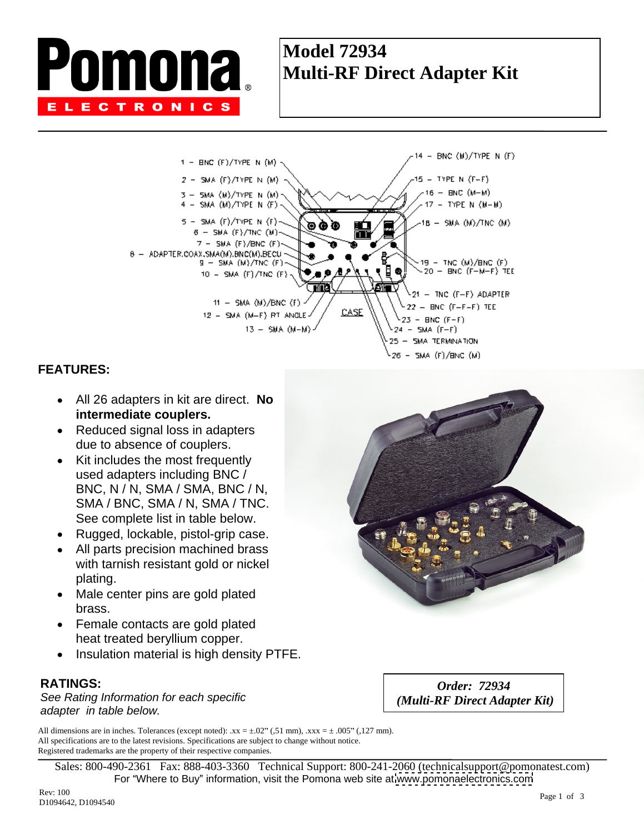## **Model 72934 Multi-RF Direct Adapter Kit**



#### **FEATURES:**

- All 26 adapters in kit are direct. **No intermediate couplers.**
- Reduced signal loss in adapters due to absence of couplers.

Pomona.

**ELECTRONICS** 

- Kit includes the most frequently used adapters including BNC / BNC, N / N, SMA / SMA, BNC / N, SMA / BNC, SMA / N, SMA / TNC. See complete list in table below.
- Rugged, lockable, pistol-grip case.
- All parts precision machined brass with tarnish resistant gold or nickel plating.
- Male center pins are gold plated brass. The contract of the contract of the contract of the contract of the contract of the contract of the contract of the contract of the contract of the contract of the contract of the contract of the contract of the con
- Female contacts are gold plated heat treated beryllium copper.
- Insulation material is high density PTFE.

See Rating Information for each specific RATINGS:<br>See Rating Information for each specific *Delayer Multi-RF Direct Adapter Kit* and *Adapter Kit* and *CMulti-RF Direct Adapter Kit* and a set and a set and a set of the set of the set of the set of the set of the

**RATINGS:** *Order: 72934 (Multi-RF Direct Adapter Kit)*

All dimensions are in inches. Tolerances (except noted):  $xx = \pm .02$ " (,51 mm),  $xxx = \pm .005$ " (,127 mm). All specifications are to the latest revisions. Specifications are subject to change without notice. Registered trademarks are the property of their respective companies.

Sales: 800-490-2361 Fax: 888-403-3360 Technical Support: 800-241-2060 (technicalsupport@pomonatest.com) For "Where to Buy" information, visit the Pomona web site at [www.pomonaelectronics.com](http://www.pomonaelectronics.com)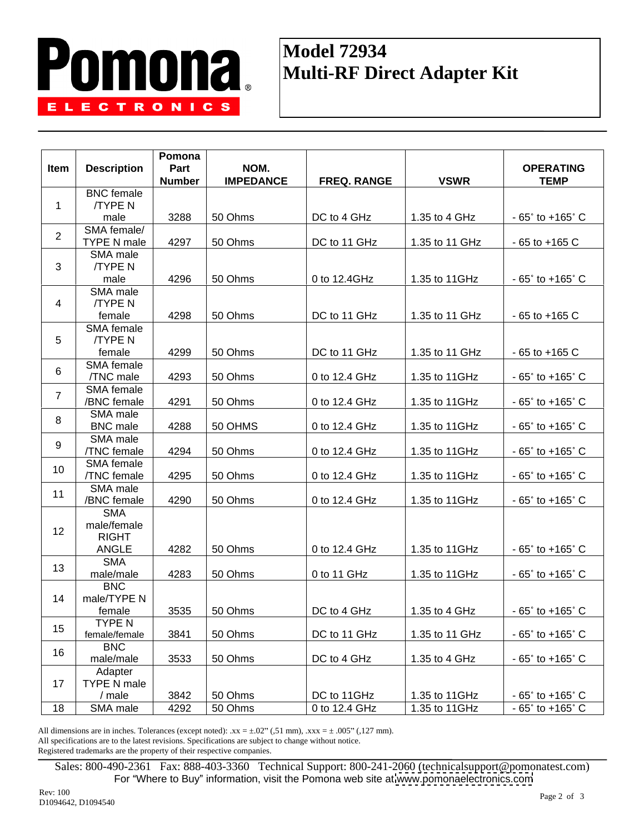# Pomona. **ELECTRONICS**

## **Model 72934 Multi-RF Direct Adapter Kit**

|                 |                              | Pomona        |                       |                    |                        |                                   |
|-----------------|------------------------------|---------------|-----------------------|--------------------|------------------------|-----------------------------------|
| Item            | <b>Description</b>           | Part          | NOM.                  |                    |                        | <b>OPERATING</b>                  |
|                 |                              | <b>Number</b> | <b>IMPEDANCE</b>      | <b>FREQ. RANGE</b> | <b>VSWR</b>            | <b>TEMP</b>                       |
|                 | <b>BNC</b> female            |               |                       |                    |                        |                                   |
|                 | <b>/TYPE N</b>               |               |                       |                    |                        |                                   |
|                 | male                         | 3288          | 50 Ohms               | DC to 4 GHz        | 1.35 to 4 GHz          | $-65^{\circ}$ to $+165^{\circ}$ C |
|                 | SMA female/                  |               |                       |                    |                        |                                   |
|                 | TYPE N male                  | 4297          | 50 Ohms               | DC to 11 GHz       | 1.35 to 11 GHz         | $-65$ to $+165$ C                 |
|                 | SMA male                     |               |                       |                    |                        |                                   |
|                 | <b>/TYPE N</b>               |               |                       |                    |                        |                                   |
|                 | male                         | 4296          | 50 Ohms               | 0 to 12.4GHz       | 1.35 to 11GHz          | $-65^{\circ}$ to $+165^{\circ}$ C |
|                 | SMA male                     |               |                       |                    |                        |                                   |
|                 | <b>/TYPE N</b>               | 4298          |                       | DC to 11 GHz       |                        | $-65$ to $+165$ C                 |
|                 | female                       |               | 50 Ohms               |                    | 1.35 to 11 GHz         |                                   |
|                 | SMA female<br><b>/TYPE N</b> |               |                       |                    |                        |                                   |
|                 | female                       | 4299          | 50 Ohms               | DC to 11 GHz       | 1.35 to 11 GHz         | $-65$ to $+165$ C                 |
|                 | SMA female                   |               |                       |                    |                        |                                   |
|                 | /TNC male                    | 4293          | 50 Ohms               | 0 to 12.4 GHz      | 1.35 to 11GHz          | $-65^{\circ}$ to $+165^{\circ}$ C |
|                 | SMA female                   |               |                       |                    |                        |                                   |
|                 | /BNC female                  | 4291          | 50 Ohms               | 0 to 12.4 GHz      | 1.35 to 11GHz          | $-65^{\circ}$ to $+165^{\circ}$ C |
|                 | SMA male                     |               |                       |                    |                        |                                   |
|                 | <b>BNC</b> male              | 4288          | 50 OHMS               | 0 to 12.4 GHz      | 1.35 to 11GHz          | $-65^{\circ}$ to $+165^{\circ}$ C |
|                 | SMA male                     |               |                       |                    |                        |                                   |
|                 | /TNC female                  | 4294          | $\frac{1}{2}$ 50 Ohms | 0 to 12.4 GHz      | 1.35 to 11GHz          | $-65^{\circ}$ to $+165^{\circ}$ C |
|                 | SMA female                   |               |                       |                    |                        |                                   |
| 10 <sup>1</sup> | <b>TNC</b> female            |               | 4295 50 Ohms          | 0 to 12.4 GHz      | 1.35 to 11GHz          | $-65^{\circ}$ to $+165^{\circ}$ C |
|                 | SMA male                     |               |                       |                    |                        |                                   |
|                 | /BNC female                  |               | 4290 50 Ohms          | 0 to 12.4 GHz      | 1.35 to 11GHz          | $-65^{\circ}$ to $+165^{\circ}$ C |
|                 | <b>SMA</b>                   |               |                       |                    |                        |                                   |
| 12              | male/female                  |               |                       |                    |                        |                                   |
|                 | <b>RIGHT</b>                 |               |                       |                    |                        |                                   |
|                 | ANGLE                        | 4282          | $\frac{1}{2}$ 50 Ohms | 0 to 12.4 GHz      | 1.35 to 11GHz          | $-65^{\circ}$ to $+165^{\circ}$ C |
| 13              | <b>SMA</b>                   |               |                       |                    |                        |                                   |
|                 | male/male                    |               | 4283 50 Ohms          | 0 to 11 GHz        | 1.35 to 11GHz          | $-65^{\circ}$ to $+165^{\circ}$ C |
|                 | <b>BNC</b>                   |               |                       |                    |                        |                                   |
| 14              | <sup>1</sup> male/TYPE N     |               |                       |                    |                        |                                   |
|                 | female                       | 3535          | 50 Ohms               | DC to 4 GHz        | 1.35 to 4 GHz          | $-65^{\circ}$ to $+165^{\circ}$ C |
| 15              | TYPE N<br>female/female      | 3841          | 50 Ohms               | DC to 11 GHz       | 1.35 to 11 GHz         | $-65^\circ$ to $+165^\circ$ C     |
|                 | <b>BNC</b>                   |               |                       |                    |                        |                                   |
| 16              | male/male                    |               | 3533 50 Ohms          | DC to 4 GHz        | 1.35 to 4 GHz          | $-65^\circ$ to $+165^\circ$ C     |
|                 | Adapter                      |               |                       |                    |                        |                                   |
| 17              | TYPE N male                  |               |                       |                    |                        |                                   |
|                 | / male                       |               | 3842 50 Ohms          | DC to 11GHz        | 1.35 to 11GHz          | $-65^{\circ}$ to $+165^{\circ}$ C |
| 18              | SMA male                     |               | 4292 50 Ohms          | $0$ to 12.4 GHz    | $\sqrt{1.35}$ to 11GHz | $-65^\circ$ to $+165^\circ$ C     |

All dimensions are in inches. Tolerances (except noted):  $xx = \pm .02$ " (,51 mm),  $xxx = \pm .005$ " (,127 mm). All specifications are to the latest revisions. Specifications are subject to change without notice. Registered trademarks are the property of their respective companies.

Sales: 800-490-2361 Fax: 888-403-3360 Technical Support: 800-241-2060 (technicalsupport@pomonatest.com) For Where to Buy information, visit the Pomona web site at [www.pomonaelectronics.com](http://www.pomonaelectronics.com)